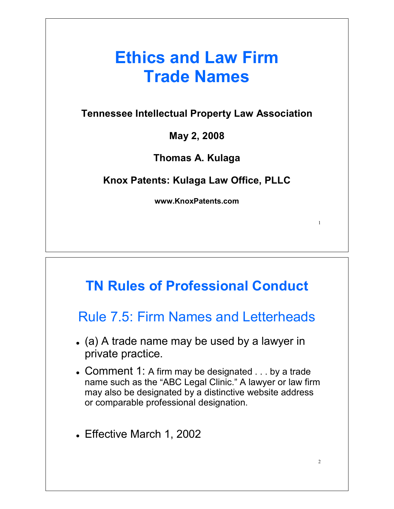## **Ethics and Law Firm Trade Names**

**Tennessee Intellectual Property Law Association**

**May 2, 2008**

**Thomas A. Kulaga**

**Knox Patents: Kulaga Law Office, PLLC**

**www.KnoxPatents.com**

1

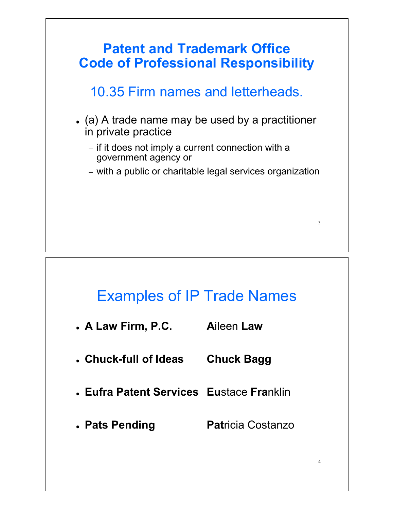

### **Examples of IP Trade Names**

- **Aileen Law** . A Law Firm, P.C.
- Chuck-full of Ideas **Chuck Bagg**
- Eufra Patent Services Eustace Franklin
- **Patricia Costanzo** • Pats Pending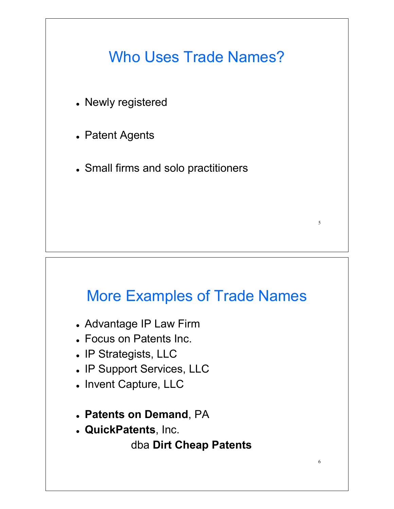## Who Uses Trade Names?

- Newly registered
- Patent Agents
- Small firms and solo practitioners

# More Examples of Trade Names

5

6

- Advantage IP Law Firm
- Focus on Patents Inc.
- IP Strategists, LLC
- IP Support Services, LLC
- Invent Capture, LLC
- **Patents on Demand**, PA
- **QuickPatents**, Inc.

dba **Dirt Cheap Patents**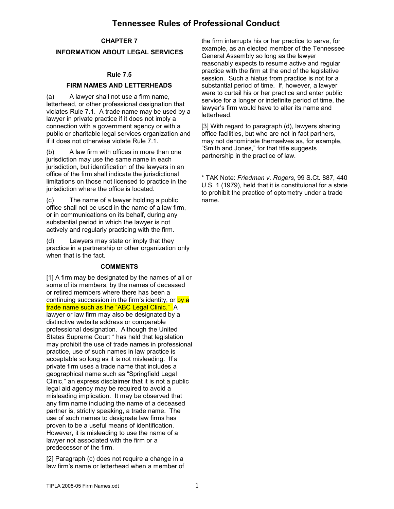### **Tennessee Rules of Professional Conduct**

#### **CHAPTER 7**

#### **INFORMATION ABOUT LEGAL SERVICES**

#### **Rule 7.5**

#### **FIRM NAMES AND LETTERHEADS**

(a) A lawyer shall not use a firm name, letterhead, or other professional designation that violates Rule 7.1. A trade name may be used by a lawyer in private practice if it does not imply a connection with a government agency or with a public or charitable legal services organization and if it does not otherwise violate Rule 7.1.

(b) A law firm with offices in more than one jurisdiction may use the same name in each jurisdiction, but identification of the lawyers in an office of the firm shall indicate the jurisdictional limitations on those not licensed to practice in the jurisdiction where the office is located.

(c) The name of a lawyer holding a public office shall not be used in the name of a law firm, or in communications on its behalf, during any substantial period in which the lawyer is not actively and regularly practicing with the firm.

(d) Lawyers may state or imply that they practice in a partnership or other organization only when that is the fact.

#### **COMMENTS**

[1] A firm may be designated by the names of all or some of its members, by the names of deceased or retired members where there has been a continuing succession in the firm's identity, or by a trade name such as the "ABC Legal Clinic." A lawyer or law firm may also be designated by a distinctive website address or comparable professional designation. Although the United States Supreme Court \* has held that legislation may prohibit the use of trade names in professional practice, use of such names in law practice is acceptable so long as it is not misleading. If a private firm uses a trade name that includes a geographical name such as "Springfield Legal Clinic," an express disclaimer that it is not a public legal aid agency may be required to avoid a misleading implication. It may be observed that any firm name including the name of a deceased partner is, strictly speaking, a trade name. The use of such names to designate law firms has proven to be a useful means of identification. However, it is misleading to use the name of a lawyer not associated with the firm or a predecessor of the firm.

[2] Paragraph (c) does not require a change in a law firm's name or letterhead when a member of the firm interrupts his or her practice to serve, for example, as an elected member of the Tennessee General Assembly so long as the lawyer reasonably expects to resume active and regular practice with the firm at the end of the legislative session. Such a hiatus from practice is not for a substantial period of time. If, however, a lawyer were to curtail his or her practice and enter public service for a longer or indefinite period of time, the lawyer's firm would have to alter its name and letterhead.

[3] With regard to paragraph (d), lawyers sharing office facilities, but who are not in fact partners, may not denominate themselves as, for example, "Smith and Jones," for that title suggests partnership in the practice of law.

\* TAK Note: *Friedman v. Rogers*, 99 S.Ct. 887, 440 U.S. 1 (1979), held that it is constituional for a state to prohibit the practice of optometry under a trade name.